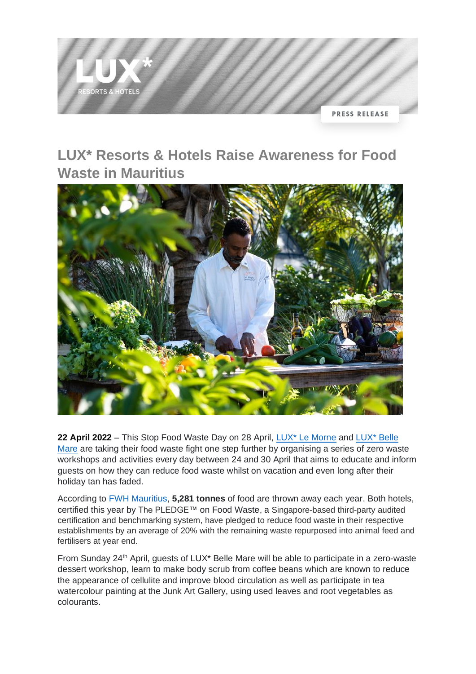

# **LUX\* Resorts & Hotels Raise Awareness for Food Waste in Mauritius**



**22 April 2022** – This Stop Food Waste Day on 28 April, [LUX\\* Le Morne](https://www.luxresorts.com/en/mauritius/hotel/luxlemorne?_ga=2.84632729.1063149237.1650506887-1510769459.1603854720) and [LUX\\* Belle](https://www.luxresorts.com/en/mauritius/hotel/luxbellemare)  [Mare](https://www.luxresorts.com/en/mauritius/hotel/luxbellemare) are taking their food waste fight one step further by organising a series of zero waste workshops and activities every day between 24 and 30 April that aims to educate and inform guests on how they can reduce food waste whilst on vacation and even long after their holiday tan has faded.

According to [FWH Mauritius,](https://fwhmauritius.com/reduce-food-waste) **5,281 tonnes** of food are thrown away each year. Both hotels, certified this year by The PLEDGE™ on Food Waste, a Singapore-based third-party audited certification and benchmarking system, have pledged to reduce food waste in their respective establishments by an average of 20% with the remaining waste repurposed into animal feed and fertilisers at year end.

From Sunday 24<sup>th</sup> April, guests of LUX\* Belle Mare will be able to participate in a zero-waste dessert workshop, learn to make body scrub from coffee beans which are known to reduce the appearance of cellulite and improve blood circulation as well as participate in tea watercolour painting at the Junk Art Gallery, using used leaves and root vegetables as colourants.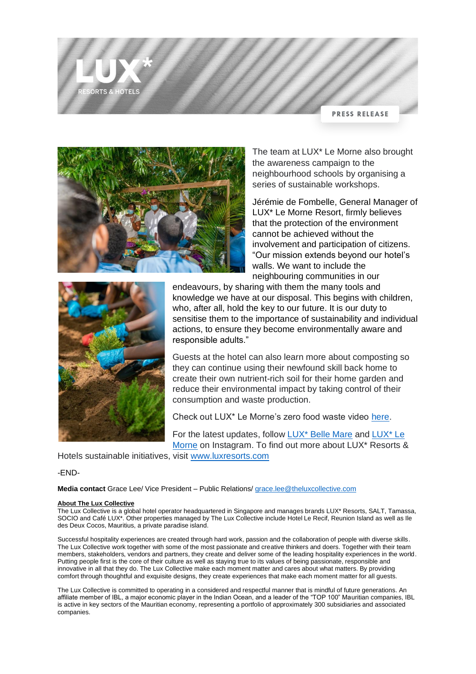**PRESS RELEASE** 



The team at LUX\* Le Morne also brought the awareness campaign to the neighbourhood schools by organising a series of sustainable workshops.

Jérémie de Fombelle, General Manager of LUX\* Le Morne Resort, firmly believes that the protection of the environment cannot be achieved without the involvement and participation of citizens. "Our mission extends beyond our hotel's walls. We want to include the neighbouring communities in our



ORTS & HOTELS

endeavours, by sharing with them the many tools and knowledge we have at our disposal. This begins with children, who, after all, hold the key to our future. It is our duty to sensitise them to the importance of sustainability and individual actions, to ensure they become environmentally aware and responsible adults."

Guests at the hotel can also learn more about composting so they can continue using their newfound skill back home to create their own nutrient-rich soil for their home garden and reduce their environmental impact by taking control of their consumption and waste production.

Check out LUX\* Le Morne's zero food waste video [here.](https://www.youtube.com/watch?v=YSZcr1YFYm8)

For the latest updates, follow [LUX\\* Belle Mare](https://www.instagram.com/luxbellemare/) and [LUX\\* Le](https://www.instagram.com/luxlemorne/)  [Morne](https://www.instagram.com/luxlemorne/) on Instagram. To find out more about LUX\* Resorts &

Hotels sustainable initiatives, visit [www.luxresorts.com](https://www.theluxcollective.com/en/sustainability?_gl=1*1w1chuq*_ga*MTUxMDc2OTQ1OS4xNjAzODU0NzIw*_gid*MTA2MzE0OTIzNy4xNjUwNTA2ODg3)

# -END-

**Media contact** Grace Lee/ Vice President – Public Relations/ [grace.lee@theluxcollective.com](mailto:grace.lee@theluxcollective.com)

### **About The Lux Collective**

The Lux Collective is a global hotel operator headquartered in Singapore and manages brands LUX\* Resorts, SALT, Tamassa, SOCIO and Café LUX\*. Other properties managed by The Lux Collective include Hotel Le Recif, Reunion Island as well as Ile des Deux Cocos, Mauritius, a private paradise island.

Successful hospitality experiences are created through hard work, passion and the collaboration of people with diverse skills. The Lux Collective work together with some of the most passionate and creative thinkers and doers. Together with their team members, stakeholders, vendors and partners, they create and deliver some of the leading hospitality experiences in the world. Putting people first is the core of their culture as well as staying true to its values of being passionate, responsible and innovative in all that they do. The Lux Collective make each moment matter and cares about what matters. By providing comfort through thoughtful and exquisite designs, they create experiences that make each moment matter for all guests.

The Lux Collective is committed to operating in a considered and respectful manner that is mindful of future generations. An affiliate member of IBL, a major economic player in the Indian Ocean, and a leader of the "TOP 100" Mauritian companies, IBL is active in key sectors of the Mauritian economy, representing a portfolio of approximately 300 subsidiaries and associated companies.